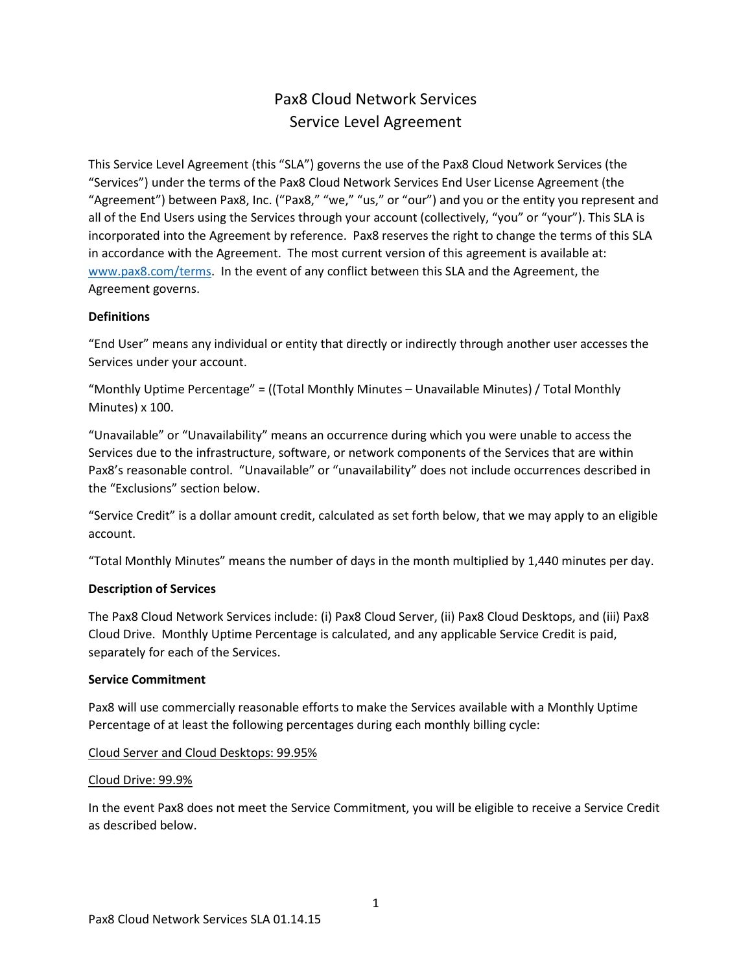# Pax8 Cloud Network Services Service Level Agreement

This Service Level Agreement (this "SLA") governs the use of the Pax8 Cloud Network Services (the "Services") under the terms of the Pax8 Cloud Network Services End User License Agreement (the "Agreement") between Pax8, Inc. ("Pax8," "we," "us," or "our") and you or the entity you represent and all of the End Users using the Services through your account (collectively, "you" or "your"). This SLA is incorporated into the Agreement by reference. Pax8 reserves the right to change the terms of this SLA in accordance with the Agreement. The most current version of this agreement is available at: www.pax8.com/terms. In the event of any conflict between this SLA and the Agreement, the Agreement governs.

# **Definitions**

"End User" means any individual or entity that directly or indirectly through another user accesses the Services under your account.

"Monthly Uptime Percentage" = ((Total Monthly Minutes – Unavailable Minutes) / Total Monthly Minutes) x 100.

"Unavailable" or "Unavailability" means an occurrence during which you were unable to access the Services due to the infrastructure, software, or network components of the Services that are within Pax8's reasonable control. "Unavailable" or "unavailability" does not include occurrences described in the "Exclusions" section below.

"Service Credit" is a dollar amount credit, calculated as set forth below, that we may apply to an eligible account.

"Total Monthly Minutes" means the number of days in the month multiplied by 1,440 minutes per day.

# **Description of Services**

The Pax8 Cloud Network Services include: (i) Pax8 Cloud Server, (ii) Pax8 Cloud Desktops, and (iii) Pax8 Cloud Drive. Monthly Uptime Percentage is calculated, and any applicable Service Credit is paid, separately for each of the Services.

# **Service Commitment**

Pax8 will use commercially reasonable efforts to make the Services available with a Monthly Uptime Percentage of at least the following percentages during each monthly billing cycle:

Cloud Server and Cloud Desktops: 99.95%

# Cloud Drive: 99.9%

In the event Pax8 does not meet the Service Commitment, you will be eligible to receive a Service Credit as described below.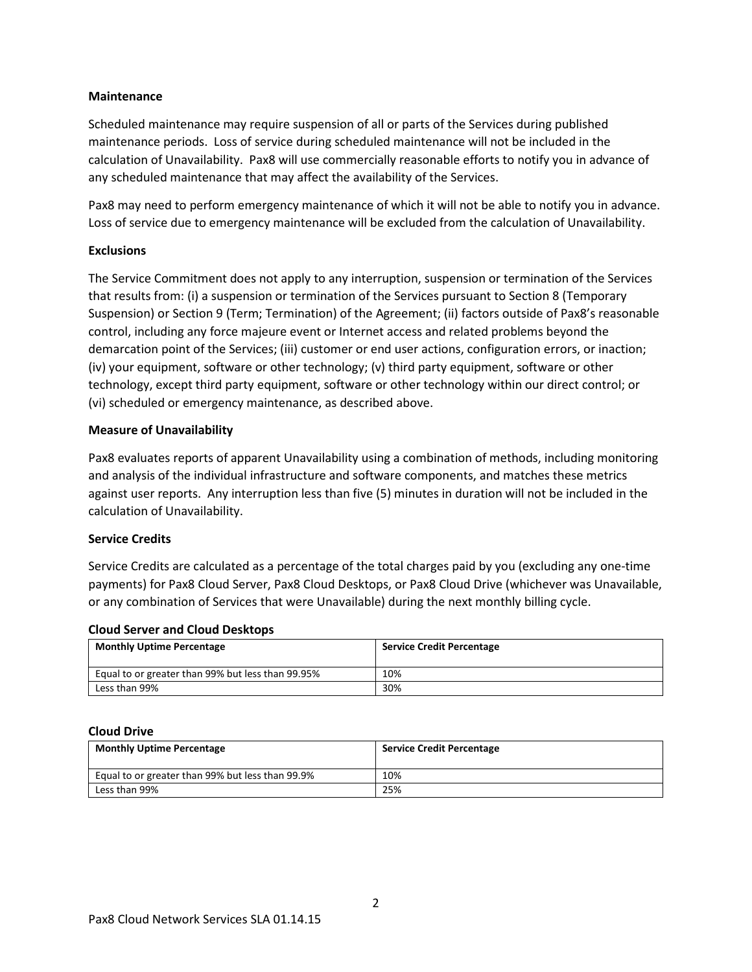### **Maintenance**

Scheduled maintenance may require suspension of all or parts of the Services during published maintenance periods. Loss of service during scheduled maintenance will not be included in the calculation of Unavailability. Pax8 will use commercially reasonable efforts to notify you in advance of any scheduled maintenance that may affect the availability of the Services.

Pax8 may need to perform emergency maintenance of which it will not be able to notify you in advance. Loss of service due to emergency maintenance will be excluded from the calculation of Unavailability.

# **Exclusions**

The Service Commitment does not apply to any interruption, suspension or termination of the Services that results from: (i) a suspension or termination of the Services pursuant to Section 8 (Temporary Suspension) or Section 9 (Term; Termination) of the Agreement; (ii) factors outside of Pax8's reasonable control, including any force majeure event or Internet access and related problems beyond the demarcation point of the Services; (iii) customer or end user actions, configuration errors, or inaction; (iv) your equipment, software or other technology; (v) third party equipment, software or other technology, except third party equipment, software or other technology within our direct control; or (vi) scheduled or emergency maintenance, as described above.

### **Measure of Unavailability**

Pax8 evaluates reports of apparent Unavailability using a combination of methods, including monitoring and analysis of the individual infrastructure and software components, and matches these metrics against user reports. Any interruption less than five (5) minutes in duration will not be included in the calculation of Unavailability.

#### **Service Credits**

Service Credits are calculated as a percentage of the total charges paid by you (excluding any one-time payments) for Pax8 Cloud Server, Pax8 Cloud Desktops, or Pax8 Cloud Drive (whichever was Unavailable, or any combination of Services that were Unavailable) during the next monthly billing cycle.

#### **Cloud Server and Cloud Desktops**

| <b>Monthly Uptime Percentage</b>                  | <b>Service Credit Percentage</b> |
|---------------------------------------------------|----------------------------------|
| Equal to or greater than 99% but less than 99.95% | 10%                              |
| Less than 99%                                     | 30%                              |

#### **Cloud Drive**

| <b>Monthly Uptime Percentage</b>                 | <b>Service Credit Percentage</b> |
|--------------------------------------------------|----------------------------------|
| Equal to or greater than 99% but less than 99.9% | 10%                              |
| Less than 99%                                    | 25%                              |